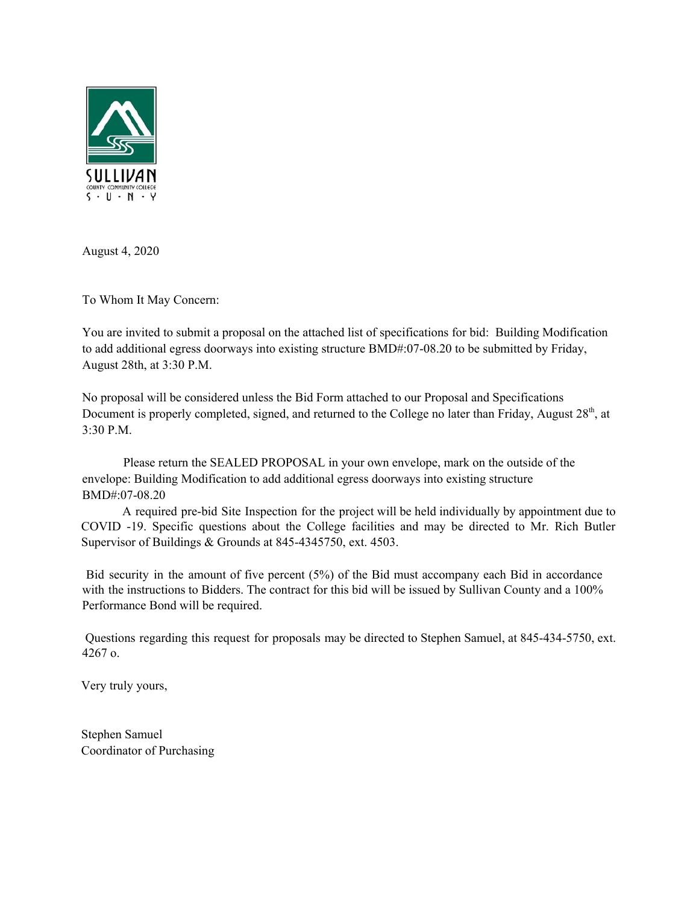

August 4, 2020

To Whom It May Concern:

You are invited to submit a proposal on the attached list of specifications for bid: Building Modification to add additional egress doorways into existing structure BMD#:07-08.20 to be submitted by Friday, August 28th, at 3:30 P.M.

No proposal will be considered unless the Bid Form attached to our Proposal and Specifications Document is properly completed, signed, and returned to the College no later than Friday, August 28<sup>th</sup>, at 3:30 P.M.

Please return the SEALED PROPOSAL in your own envelope, mark on the outside of the envelope: Building Modification to add additional egress doorways into existing structure BMD#:07-08.20

A required pre-bid Site Inspection for the project will be held individually by appointment due to COVID -19. Specific questions about the College facilities and may be directed to Mr. Rich Butler Supervisor of Buildings & Grounds at 845-4345750, ext. 4503.

Bid security in the amount of five percent (5%) of the Bid must accompany each Bid in accordance with the instructions to Bidders. The contract for this bid will be issued by Sullivan County and a 100% Performance Bond will be required.

Questions regarding this request for proposals may be directed to Stephen Samuel, at 845-434-5750, ext. 4267 o.

Very truly yours,

Stephen Samuel Coordinator of Purchasing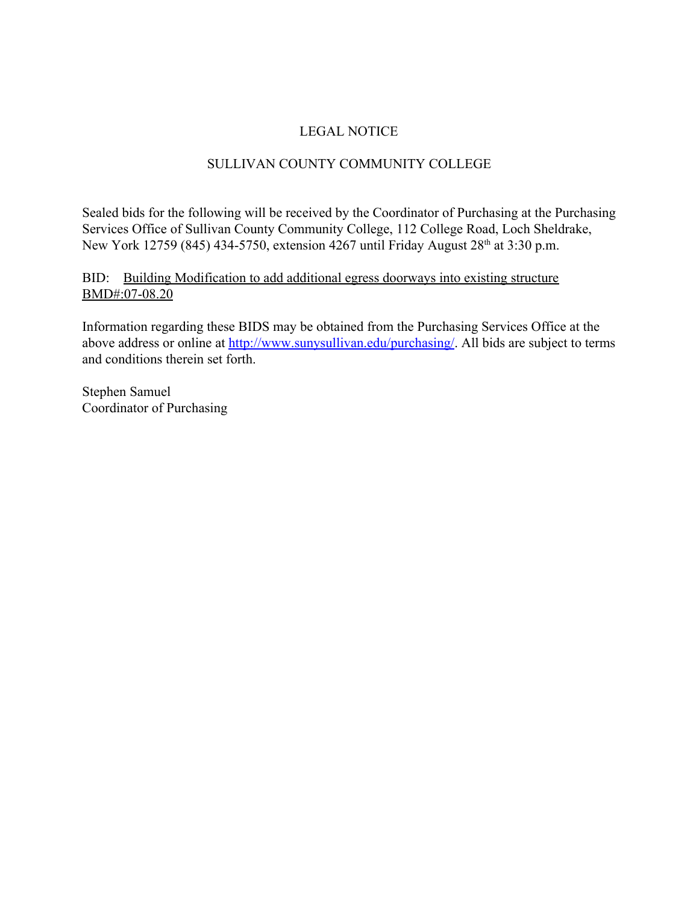# LEGAL NOTICE

# SULLIVAN COUNTY COMMUNITY COLLEGE

Sealed bids for the following will be received by the Coordinator of Purchasing at the Purchasing Services Office of Sullivan County Community College, 112 College Road, Loch Sheldrake, New York 12759 (845) 434-5750, extension 4267 until Friday August 28<sup>th</sup> at 3:30 p.m.

BID: Building Modification to add additional egress doorways into existing structure BMD#:07-08.20

Information regarding these BIDS may be obtained from the Purchasing Services Office at the above address or online at<http://www.sunysullivan.edu/purchasing/>. All bids are subject to terms and conditions therein set forth.

Stephen Samuel Coordinator of Purchasing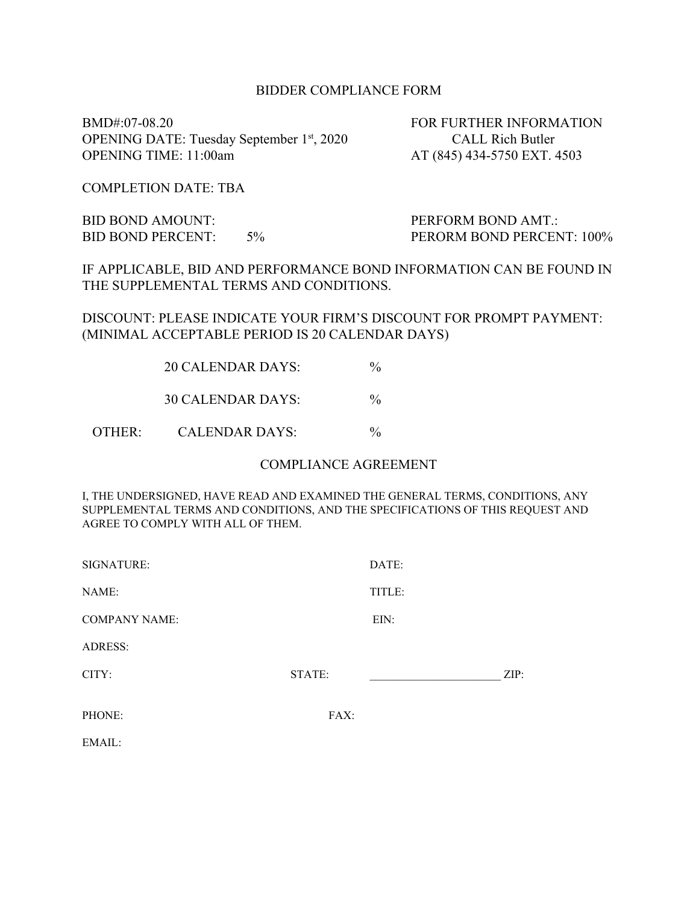#### BIDDER COMPLIANCE FORM

BMD#:07-08.20 FOR FURTHER INFORMATION OPENING DATE: Tuesday September 1<sup>st</sup>, 2020 OPENING TIME: 11:00am AT (845) 434-5750 EXT. 4503

CALL Rich Butler

COMPLETION DATE: TBA

OTHER:

BID BOND AMOUNT: PERFORM BOND AMT.:

BID BOND PERCENT: 5% PERORM BOND PERCENT: 100%

IF APPLICABLE, BID AND PERFORMANCE BOND INFORMATION CAN BE FOUND IN THE SUPPLEMENTAL TERMS AND CONDITIONS.

DISCOUNT: PLEASE INDICATE YOUR FIRM'S DISCOUNT FOR PROMPT PAYMENT: (MINIMAL ACCEPTABLE PERIOD IS 20 CALENDAR DAYS)

| <b>20 CALENDAR DAYS:</b> | $\frac{0}{0}$ |
|--------------------------|---------------|
| 30 CALENDAR DAYS:        | $\frac{0}{0}$ |
| CALENDAR DAYS.           | $\frac{0}{0}$ |

#### COMPLIANCE AGREEMENT

I, THE UNDERSIGNED, HAVE READ AND EXAMINED THE GENERAL TERMS, CONDITIONS, ANY SUPPLEMENTAL TERMS AND CONDITIONS, AND THE SPECIFICATIONS OF THIS REQUEST AND AGREE TO COMPLY WITH ALL OF THEM.

| SIGNATURE:           |        | DATE:  |      |
|----------------------|--------|--------|------|
| NAME:                |        | TITLE: |      |
| <b>COMPANY NAME:</b> |        | EIN:   |      |
| <b>ADRESS:</b>       |        |        |      |
| CITY:                | STATE: |        | ZIP: |
|                      |        |        |      |
| PHONE:               | FAX:   |        |      |
| EMAIL:               |        |        |      |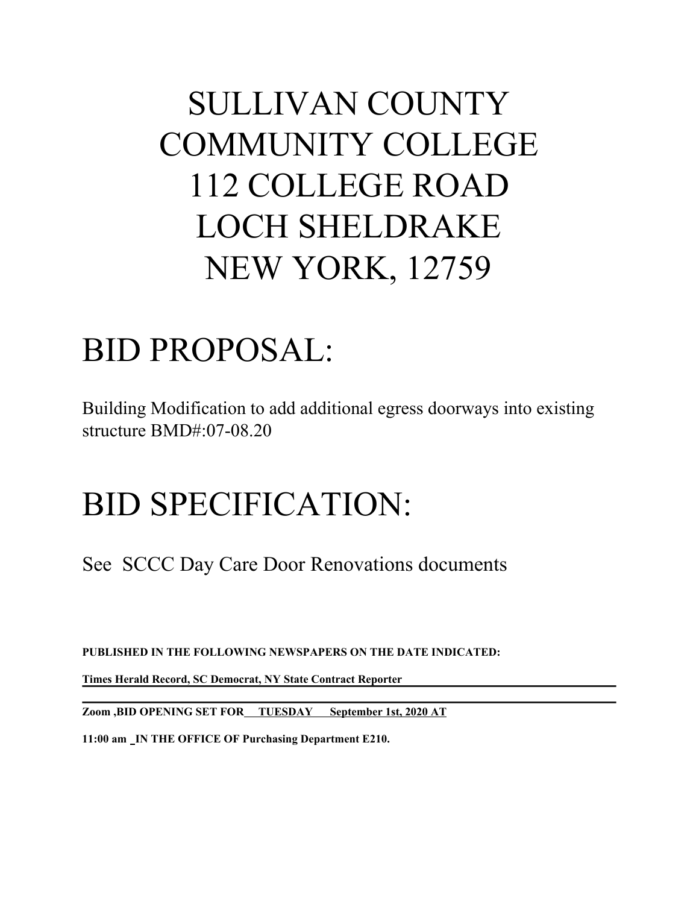# SULLIVAN COUNTY COMMUNITY COLLEGE 112 COLLEGE ROAD LOCH SHELDRAKE NEW YORK, 12759

# BID PROPOSAL:

Building Modification to add additional egress doorways into existing structure BMD#:07-08.20

# BID SPECIFICATION:

See SCCC Day Care Door Renovations documents

**PUBLISHED IN THE FOLLOWING NEWSPAPERS ON THE DATE INDICATED:**

**Times Herald Record, SC Democrat, NY State Contract Reporter**

**Zoom ,BID OPENING SET FOR TUESDAY September 1st, 2020 AT**

**11:00 am IN THE OFFICE OF Purchasing Department E210.**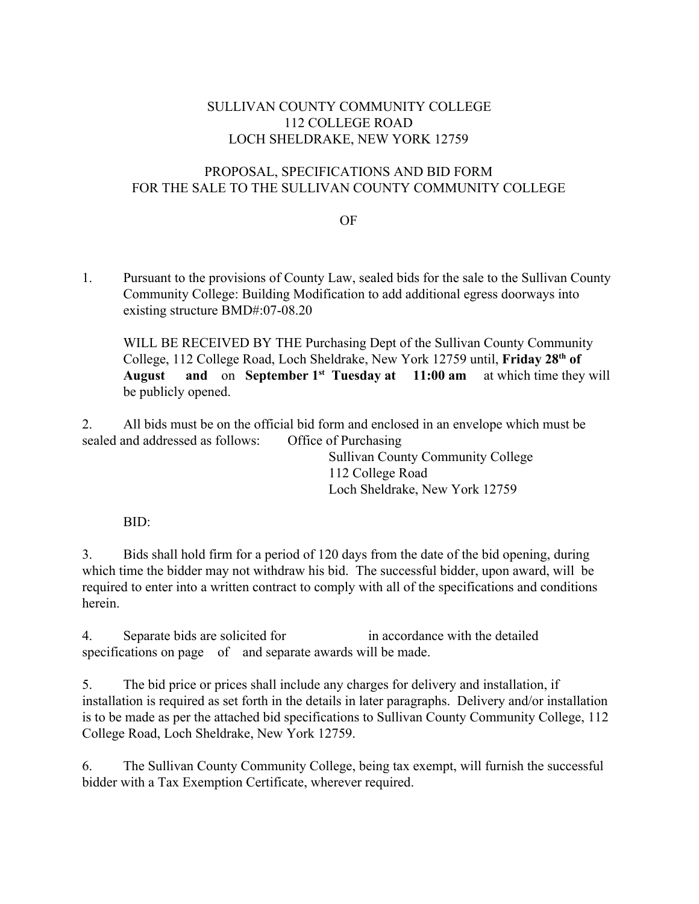# SULLIVAN COUNTY COMMUNITY COLLEGE 112 COLLEGE ROAD LOCH SHELDRAKE, NEW YORK 12759

# PROPOSAL, SPECIFICATIONS AND BID FORM FOR THE SALE TO THE SULLIVAN COUNTY COMMUNITY COLLEGE

### OF

1. Pursuant to the provisions of County Law, sealed bids for the sale to the Sullivan County Community College: Building Modification to add additional egress doorways into existing structure BMD#:07-08.20

WILL BE RECEIVED BY THE Purchasing Dept of the Sullivan County Community College, 112 College Road, Loch Sheldrake, New York 12759 until, **Friday 28th of August and** on **September 1st Tuesday at 11:00 am** at which time they will be publicly opened.

2. All bids must be on the official bid form and enclosed in an envelope which must be sealed and addressed as follows: Office of Purchasing

> Sullivan County Community College 112 College Road Loch Sheldrake, New York 12759

BID:

3. Bids shall hold firm for a period of 120 days from the date of the bid opening, during which time the bidder may not withdraw his bid. The successful bidder, upon award, will be required to enter into a written contract to comply with all of the specifications and conditions herein.

4. Separate bids are solicited for in accordance with the detailed specifications on page of and separate awards will be made.

5. The bid price or prices shall include any charges for delivery and installation, if installation is required as set forth in the details in later paragraphs. Delivery and/or installation is to be made as per the attached bid specifications to Sullivan County Community College, 112 College Road, Loch Sheldrake, New York 12759.

6. The Sullivan County Community College, being tax exempt, will furnish the successful bidder with a Tax Exemption Certificate, wherever required.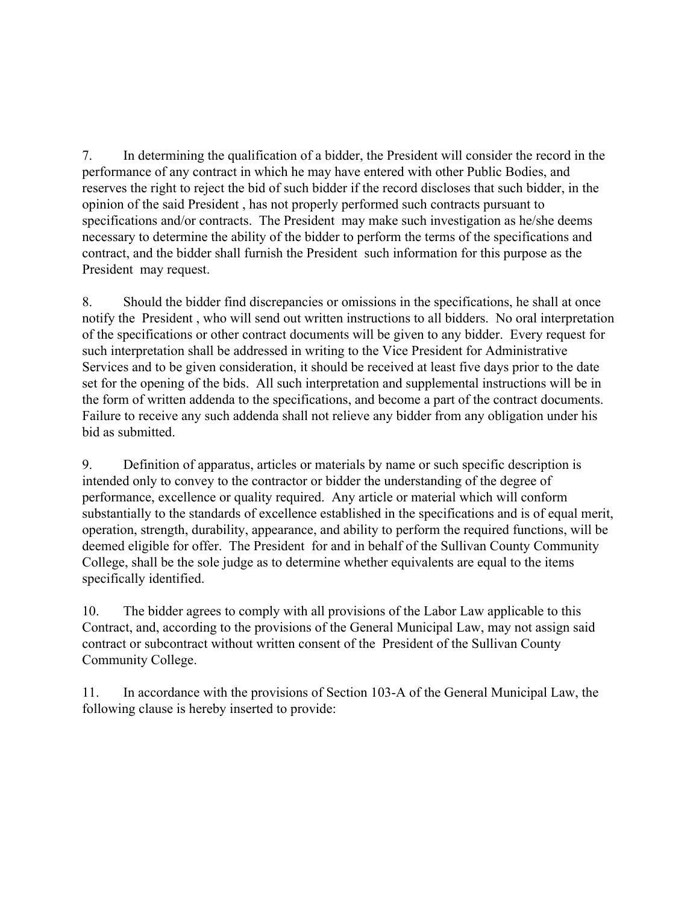7. In determining the qualification of a bidder, the President will consider the record in the performance of any contract in which he may have entered with other Public Bodies, and reserves the right to reject the bid of such bidder if the record discloses that such bidder, in the opinion of the said President , has not properly performed such contracts pursuant to specifications and/or contracts. The President may make such investigation as he/she deems necessary to determine the ability of the bidder to perform the terms of the specifications and contract, and the bidder shall furnish the President such information for this purpose as the President may request.

8. Should the bidder find discrepancies or omissions in the specifications, he shall at once notify the President , who will send out written instructions to all bidders. No oral interpretation of the specifications or other contract documents will be given to any bidder. Every request for such interpretation shall be addressed in writing to the Vice President for Administrative Services and to be given consideration, it should be received at least five days prior to the date set for the opening of the bids. All such interpretation and supplemental instructions will be in the form of written addenda to the specifications, and become a part of the contract documents. Failure to receive any such addenda shall not relieve any bidder from any obligation under his bid as submitted.

9. Definition of apparatus, articles or materials by name or such specific description is intended only to convey to the contractor or bidder the understanding of the degree of performance, excellence or quality required. Any article or material which will conform substantially to the standards of excellence established in the specifications and is of equal merit, operation, strength, durability, appearance, and ability to perform the required functions, will be deemed eligible for offer. The President for and in behalf of the Sullivan County Community College, shall be the sole judge as to determine whether equivalents are equal to the items specifically identified.

10. The bidder agrees to comply with all provisions of the Labor Law applicable to this Contract, and, according to the provisions of the General Municipal Law, may not assign said contract or subcontract without written consent of the President of the Sullivan County Community College.

11. In accordance with the provisions of Section 103-A of the General Municipal Law, the following clause is hereby inserted to provide: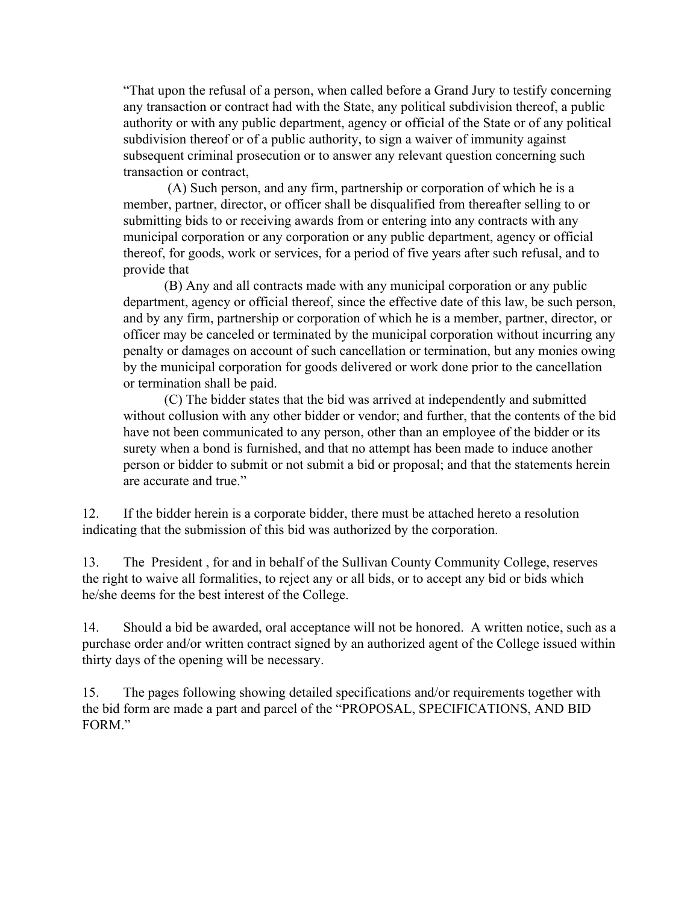"That upon the refusal of a person, when called before a Grand Jury to testify concerning any transaction or contract had with the State, any political subdivision thereof, a public authority or with any public department, agency or official of the State or of any political subdivision thereof or of a public authority, to sign a waiver of immunity against subsequent criminal prosecution or to answer any relevant question concerning such transaction or contract,

 (A) Such person, and any firm, partnership or corporation of which he is a member, partner, director, or officer shall be disqualified from thereafter selling to or submitting bids to or receiving awards from or entering into any contracts with any municipal corporation or any corporation or any public department, agency or official thereof, for goods, work or services, for a period of five years after such refusal, and to provide that

(B) Any and all contracts made with any municipal corporation or any public department, agency or official thereof, since the effective date of this law, be such person, and by any firm, partnership or corporation of which he is a member, partner, director, or officer may be canceled or terminated by the municipal corporation without incurring any penalty or damages on account of such cancellation or termination, but any monies owing by the municipal corporation for goods delivered or work done prior to the cancellation or termination shall be paid.

(C) The bidder states that the bid was arrived at independently and submitted without collusion with any other bidder or vendor; and further, that the contents of the bid have not been communicated to any person, other than an employee of the bidder or its surety when a bond is furnished, and that no attempt has been made to induce another person or bidder to submit or not submit a bid or proposal; and that the statements herein are accurate and true."

12. If the bidder herein is a corporate bidder, there must be attached hereto a resolution indicating that the submission of this bid was authorized by the corporation.

13. The President , for and in behalf of the Sullivan County Community College, reserves the right to waive all formalities, to reject any or all bids, or to accept any bid or bids which he/she deems for the best interest of the College.

14. Should a bid be awarded, oral acceptance will not be honored. A written notice, such as a purchase order and/or written contract signed by an authorized agent of the College issued within thirty days of the opening will be necessary.

15. The pages following showing detailed specifications and/or requirements together with the bid form are made a part and parcel of the "PROPOSAL, SPECIFICATIONS, AND BID FORM."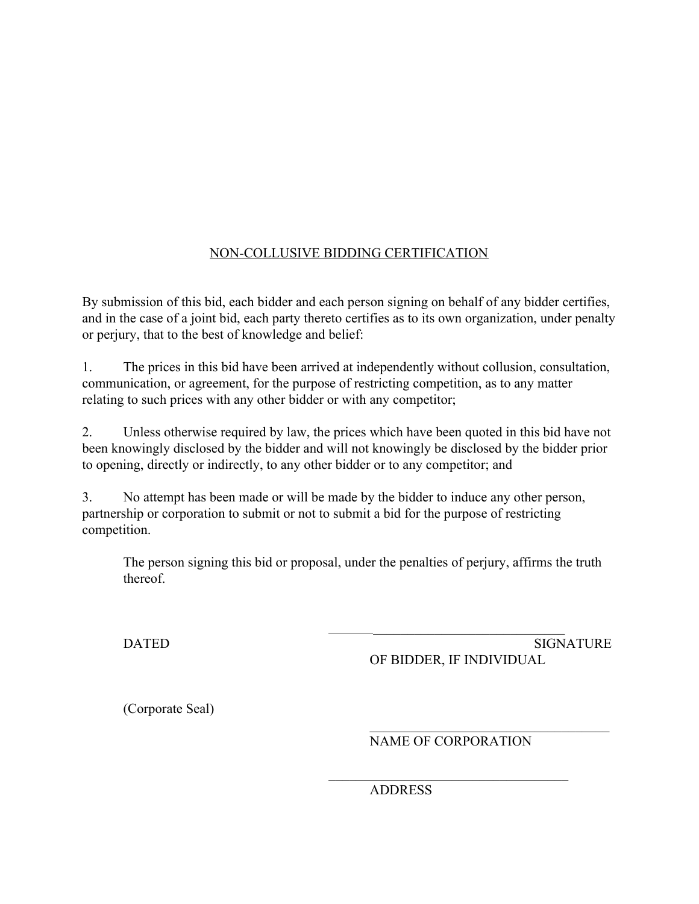# NON-COLLUSIVE BIDDING CERTIFICATION

By submission of this bid, each bidder and each person signing on behalf of any bidder certifies, and in the case of a joint bid, each party thereto certifies as to its own organization, under penalty or perjury, that to the best of knowledge and belief:

1. The prices in this bid have been arrived at independently without collusion, consultation, communication, or agreement, for the purpose of restricting competition, as to any matter relating to such prices with any other bidder or with any competitor;

2. Unless otherwise required by law, the prices which have been quoted in this bid have not been knowingly disclosed by the bidder and will not knowingly be disclosed by the bidder prior to opening, directly or indirectly, to any other bidder or to any competitor; and

3. No attempt has been made or will be made by the bidder to induce any other person, partnership or corporation to submit or not to submit a bid for the purpose of restricting competition.

The person signing this bid or proposal, under the penalties of perjury, affirms the truth thereof.

DATED SIGNATURE SIGNATURE OF BIDDER, IF INDIVIDUAL

 $\mathcal{L}_\text{max}$  , where  $\mathcal{L}_\text{max}$  and  $\mathcal{L}_\text{max}$  and  $\mathcal{L}_\text{max}$ 

(Corporate Seal)

NAME OF CORPORATION

 $\mathcal{L}_\text{max}$  , where  $\mathcal{L}_\text{max}$  and  $\mathcal{L}_\text{max}$  and  $\mathcal{L}_\text{max}$ 

 $\frac{1}{2}$  , and the set of the set of the set of the set of the set of the set of the set of the set of the set of the set of the set of the set of the set of the set of the set of the set of the set of the set of the set

ADDRESS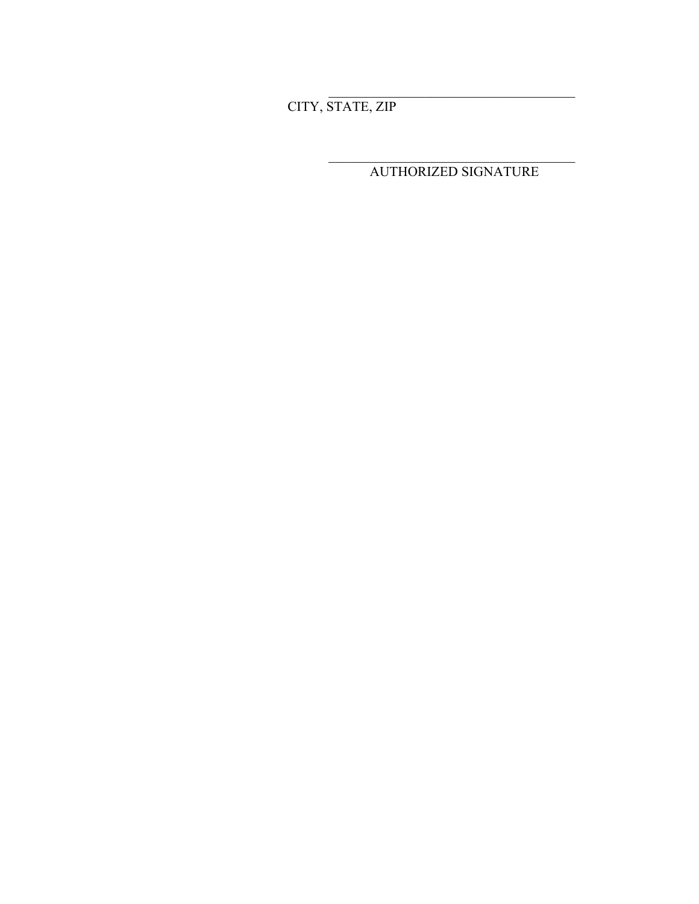CITY, STATE, ZIP

AUTHORIZED SIGNATURE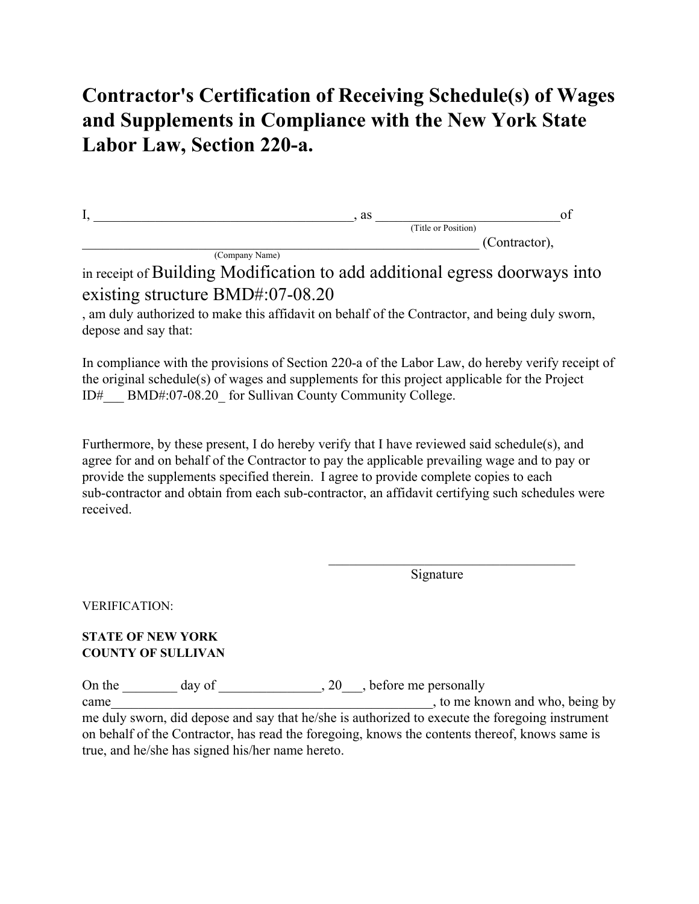# **Contractor's Certification of Receiving Schedule(s) of Wages and Supplements in Compliance with the New York State Labor Law, Section 220-a.**

| . . | as                  |               |
|-----|---------------------|---------------|
|     | (Title or Position) |               |
|     |                     | (Contractor), |

(Company Name)

in receipt of Building Modification to add additional egress doorways into existing structure BMD#:07-08.20

, am duly authorized to make this affidavit on behalf of the Contractor, and being duly sworn, depose and say that:

In compliance with the provisions of Section 220-a of the Labor Law, do hereby verify receipt of the original schedule(s) of wages and supplements for this project applicable for the Project ID#\_\_\_ BMD#:07-08.20\_ for Sullivan County Community College.

Furthermore, by these present, I do hereby verify that I have reviewed said schedule(s), and agree for and on behalf of the Contractor to pay the applicable prevailing wage and to pay or provide the supplements specified therein. I agree to provide complete copies to each sub-contractor and obtain from each sub-contractor, an affidavit certifying such schedules were received.

Signature

 $\mathcal{L}_\text{max}$  , where  $\mathcal{L}_\text{max}$  is the set of the set of the set of the set of the set of the set of the set of the set of the set of the set of the set of the set of the set of the set of the set of the set of the se

VERIFICATION:

## **STATE OF NEW YORK COUNTY OF SULLIVAN**

On the \_\_\_\_\_\_\_ day of \_\_\_\_\_\_\_\_\_\_\_\_\_, 20\_\_\_, before me personally came\_\_\_\_\_\_\_\_\_\_\_\_\_\_\_\_\_\_\_\_\_\_\_\_\_\_\_\_\_\_\_\_\_\_\_\_\_\_\_\_\_\_\_\_\_\_\_, to me known and who, being by me duly sworn, did depose and say that he/she is authorized to execute the foregoing instrument on behalf of the Contractor, has read the foregoing, knows the contents thereof, knows same is true, and he/she has signed his/her name hereto.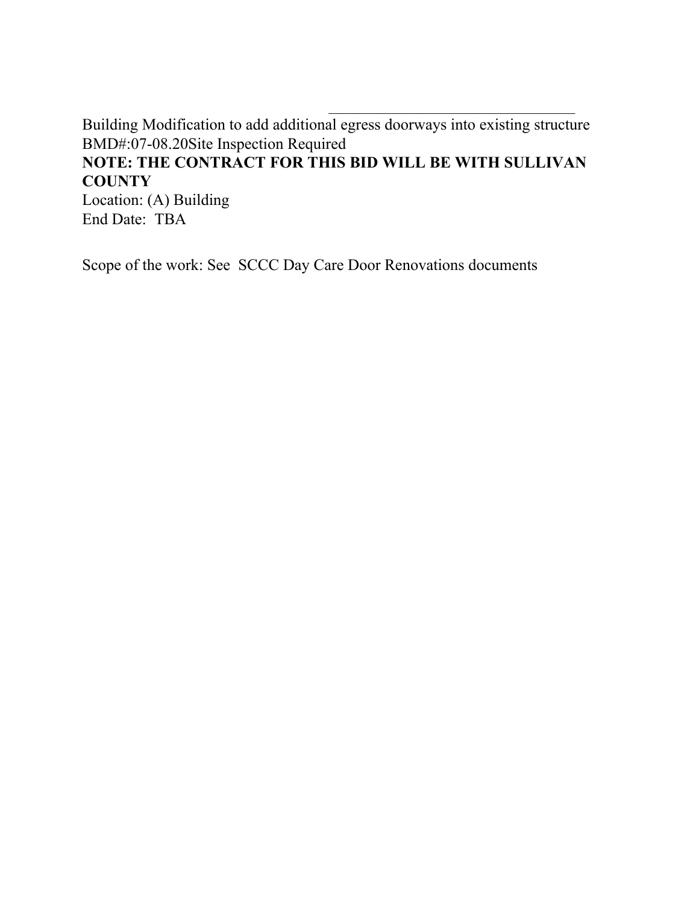Building Modification to add additional egress doorways into existing structure BMD#:07-08.20Site Inspection Required

 $\mathcal{L}_\text{max}$  , where  $\mathcal{L}_\text{max}$  is the set of the set of the set of the set of the set of the set of the set of the set of the set of the set of the set of the set of the set of the set of the set of the set of the se

# **NOTE: THE CONTRACT FOR THIS BID WILL BE WITH SULLIVAN COUNTY**

Location: (A) Building End Date: TBA

Scope of the work: See SCCC Day Care Door Renovations documents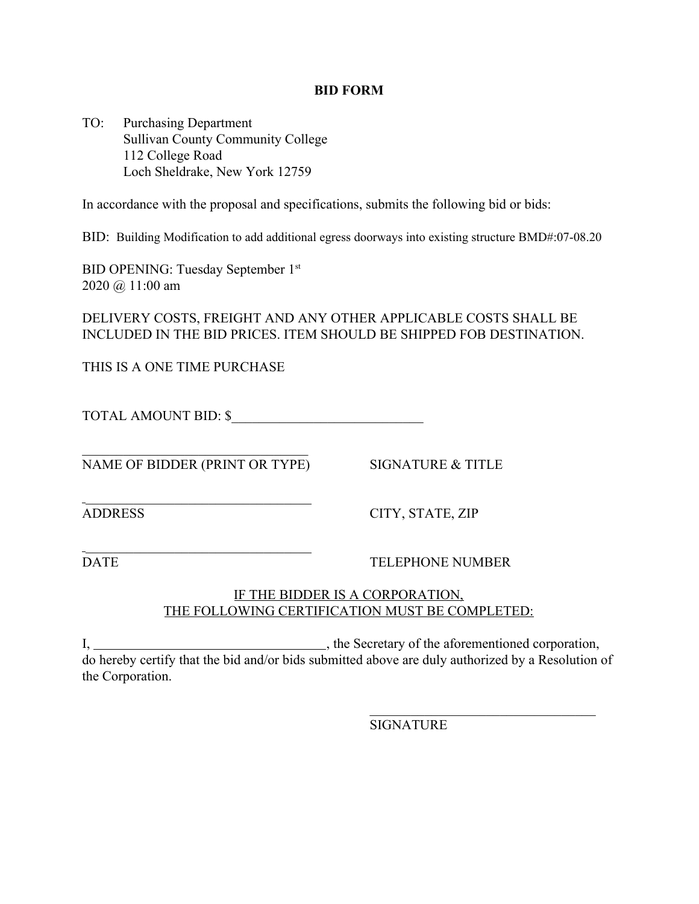#### **BID FORM**

TO: Purchasing Department Sullivan County Community College 112 College Road Loch Sheldrake, New York 12759

In accordance with the proposal and specifications, submits the following bid or bids:

BID: Building Modification to add additional egress doorways into existing structure BMD#:07-08.20

BID OPENING: Tuesday September 1st 2020 @ 11:00 am

DELIVERY COSTS, FREIGHT AND ANY OTHER APPLICABLE COSTS SHALL BE INCLUDED IN THE BID PRICES. ITEM SHOULD BE SHIPPED FOB DESTINATION.

THIS IS A ONE TIME PURCHASE

TOTAL AMOUNT BID: \$

 $\mathcal{L}_\text{max}$  , where  $\mathcal{L}_\text{max}$  is the set of the set of the set of the set of the set of the set of the set of the set of the set of the set of the set of the set of the set of the set of the set of the set of the se NAME OF BIDDER (PRINT OR TYPE) SIGNATURE & TITLE

 $\mathcal{L}_\text{max}$  , where  $\mathcal{L}_\text{max}$  is the set of the set of the set of the set of the set of the set of the set of the set of the set of the set of the set of the set of the set of the set of the set of the set of the se

 $\mathcal{L}_\text{max}$  , where  $\mathcal{L}_\text{max}$  is the set of the set of the set of the set of the set of the set of the set of the set of the set of the set of the set of the set of the set of the set of the set of the set of the se

ADDRESS CITY, STATE, ZIP

DATE TELEPHONE NUMBER

 $\mathcal{L}_\text{max}$  , where  $\mathcal{L}_\text{max}$  is the set of the set of the set of the set of the set of the set of the set of the set of the set of the set of the set of the set of the set of the set of the set of the set of the se

## IF THE BIDDER IS A CORPORATION, THE FOLLOWING CERTIFICATION MUST BE COMPLETED:

I, , the Secretary of the aforementioned corporation, do hereby certify that the bid and/or bids submitted above are duly authorized by a Resolution of the Corporation.

**SIGNATURE**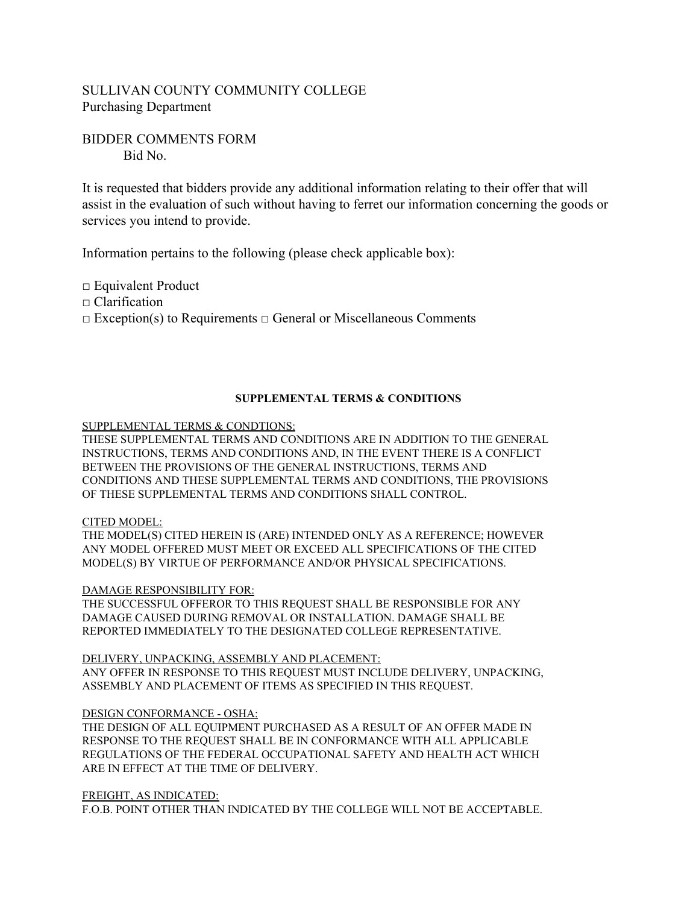# SULLIVAN COUNTY COMMUNITY COLLEGE Purchasing Department

### BIDDER COMMENTS FORM Bid No.

It is requested that bidders provide any additional information relating to their offer that will assist in the evaluation of such without having to ferret our information concerning the goods or services you intend to provide.

Information pertains to the following (please check applicable box):

□ Equivalent Product

□ Clarification

□ Exception(s) to Requirements □ General or Miscellaneous Comments

#### **SUPPLEMENTAL TERMS & CONDITIONS**

SUPPLEMENTAL TERMS & CONDTIONS:

THESE SUPPLEMENTAL TERMS AND CONDITIONS ARE IN ADDITION TO THE GENERAL INSTRUCTIONS, TERMS AND CONDITIONS AND, IN THE EVENT THERE IS A CONFLICT BETWEEN THE PROVISIONS OF THE GENERAL INSTRUCTIONS, TERMS AND CONDITIONS AND THESE SUPPLEMENTAL TERMS AND CONDITIONS, THE PROVISIONS OF THESE SUPPLEMENTAL TERMS AND CONDITIONS SHALL CONTROL.

#### CITED MODEL:

THE MODEL(S) CITED HEREIN IS (ARE) INTENDED ONLY AS A REFERENCE; HOWEVER ANY MODEL OFFERED MUST MEET OR EXCEED ALL SPECIFICATIONS OF THE CITED MODEL(S) BY VIRTUE OF PERFORMANCE AND/OR PHYSICAL SPECIFICATIONS.

#### DAMAGE RESPONSIBILITY FOR:

THE SUCCESSFUL OFFEROR TO THIS REQUEST SHALL BE RESPONSIBLE FOR ANY DAMAGE CAUSED DURING REMOVAL OR INSTALLATION. DAMAGE SHALL BE REPORTED IMMEDIATELY TO THE DESIGNATED COLLEGE REPRESENTATIVE.

DELIVERY, UNPACKING, ASSEMBLY AND PLACEMENT: ANY OFFER IN RESPONSE TO THIS REQUEST MUST INCLUDE DELIVERY, UNPACKING, ASSEMBLY AND PLACEMENT OF ITEMS AS SPECIFIED IN THIS REQUEST.

#### DESIGN CONFORMANCE - OSHA:

THE DESIGN OF ALL EQUIPMENT PURCHASED AS A RESULT OF AN OFFER MADE IN RESPONSE TO THE REQUEST SHALL BE IN CONFORMANCE WITH ALL APPLICABLE REGULATIONS OF THE FEDERAL OCCUPATIONAL SAFETY AND HEALTH ACT WHICH ARE IN EFFECT AT THE TIME OF DELIVERY.

#### FREIGHT, AS INDICATED:

F.O.B. POINT OTHER THAN INDICATED BY THE COLLEGE WILL NOT BE ACCEPTABLE.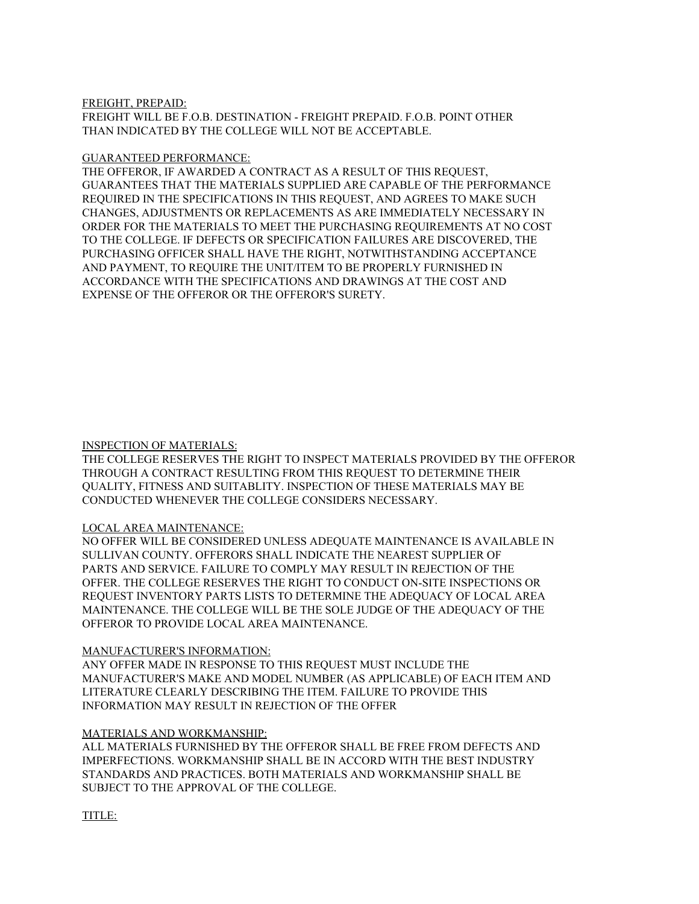#### FREIGHT, PREPAID:

FREIGHT WILL BE F.O.B. DESTINATION - FREIGHT PREPAID. F.O.B. POINT OTHER THAN INDICATED BY THE COLLEGE WILL NOT BE ACCEPTABLE.

#### GUARANTEED PERFORMANCE:

THE OFFEROR, IF AWARDED A CONTRACT AS A RESULT OF THIS REQUEST, GUARANTEES THAT THE MATERIALS SUPPLIED ARE CAPABLE OF THE PERFORMANCE REQUIRED IN THE SPECIFICATIONS IN THIS REQUEST, AND AGREES TO MAKE SUCH CHANGES, ADJUSTMENTS OR REPLACEMENTS AS ARE IMMEDIATELY NECESSARY IN ORDER FOR THE MATERIALS TO MEET THE PURCHASING REQUIREMENTS AT NO COST TO THE COLLEGE. IF DEFECTS OR SPECIFICATION FAILURES ARE DISCOVERED, THE PURCHASING OFFICER SHALL HAVE THE RIGHT, NOTWITHSTANDING ACCEPTANCE AND PAYMENT, TO REQUIRE THE UNIT/ITEM TO BE PROPERLY FURNISHED IN ACCORDANCE WITH THE SPECIFICATIONS AND DRAWINGS AT THE COST AND EXPENSE OF THE OFFEROR OR THE OFFEROR'S SURETY.

#### INSPECTION OF MATERIALS:

THE COLLEGE RESERVES THE RIGHT TO INSPECT MATERIALS PROVIDED BY THE OFFEROR THROUGH A CONTRACT RESULTING FROM THIS REQUEST TO DETERMINE THEIR QUALITY, FITNESS AND SUITABLITY. INSPECTION OF THESE MATERIALS MAY BE CONDUCTED WHENEVER THE COLLEGE CONSIDERS NECESSARY.

#### LOCAL AREA MAINTENANCE:

NO OFFER WILL BE CONSIDERED UNLESS ADEQUATE MAINTENANCE IS AVAILABLE IN SULLIVAN COUNTY. OFFERORS SHALL INDICATE THE NEAREST SUPPLIER OF PARTS AND SERVICE. FAILURE TO COMPLY MAY RESULT IN REJECTION OF THE OFFER. THE COLLEGE RESERVES THE RIGHT TO CONDUCT ON-SITE INSPECTIONS OR REQUEST INVENTORY PARTS LISTS TO DETERMINE THE ADEQUACY OF LOCAL AREA MAINTENANCE. THE COLLEGE WILL BE THE SOLE JUDGE OF THE ADEQUACY OF THE OFFEROR TO PROVIDE LOCAL AREA MAINTENANCE.

#### MANUFACTURER'S INFORMATION:

ANY OFFER MADE IN RESPONSE TO THIS REQUEST MUST INCLUDE THE MANUFACTURER'S MAKE AND MODEL NUMBER (AS APPLICABLE) OF EACH ITEM AND LITERATURE CLEARLY DESCRIBING THE ITEM. FAILURE TO PROVIDE THIS INFORMATION MAY RESULT IN REJECTION OF THE OFFER

#### MATERIALS AND WORKMANSHIP:

ALL MATERIALS FURNISHED BY THE OFFEROR SHALL BE FREE FROM DEFECTS AND IMPERFECTIONS. WORKMANSHIP SHALL BE IN ACCORD WITH THE BEST INDUSTRY STANDARDS AND PRACTICES. BOTH MATERIALS AND WORKMANSHIP SHALL BE SUBJECT TO THE APPROVAL OF THE COLLEGE.

TITLE: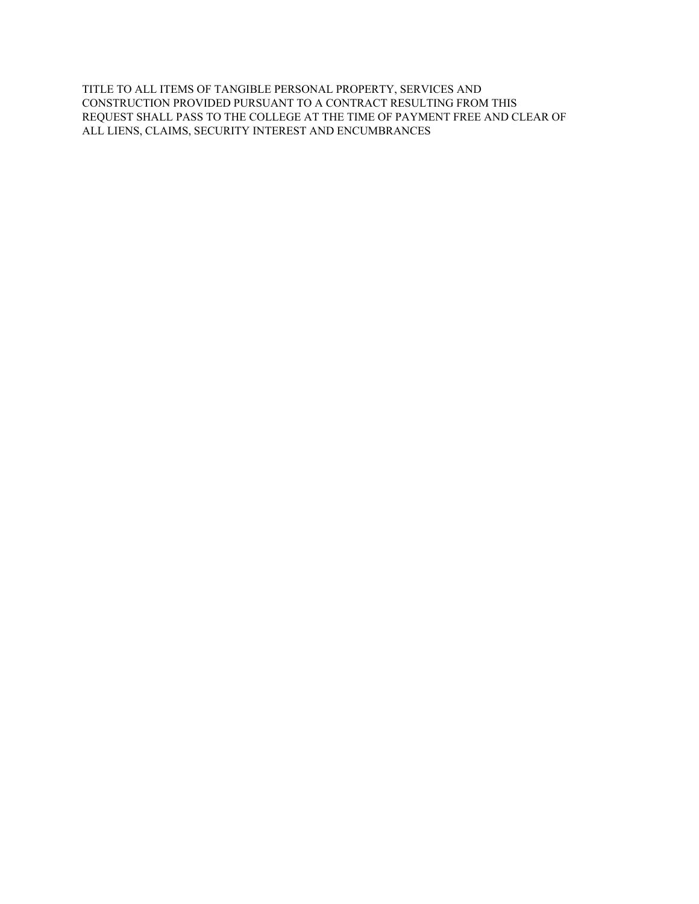TITLE TO ALL ITEMS OF TANGIBLE PERSONAL PROPERTY, SERVICES AND CONSTRUCTION PROVIDED PURSUANT TO A CONTRACT RESULTING FROM THIS REQUEST SHALL PASS TO THE COLLEGE AT THE TIME OF PAYMENT FREE AND CLEAR OF ALL LIENS, CLAIMS, SECURITY INTEREST AND ENCUMBRANCES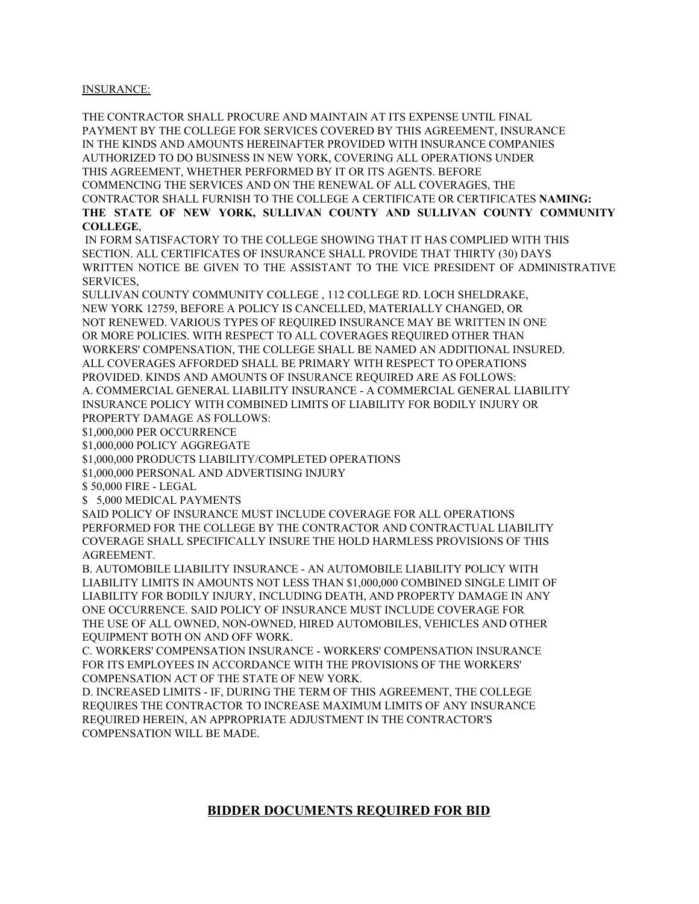#### INSURANCE:

THE CONTRACTOR SHALL PROCURE AND MAINTAIN AT ITS EXPENSE UNTIL FINAL PAYMENT BY THE COLLEGE FOR SERVICES COVERED BY THIS AGREEMENT, INSURANCE IN THE KINDS AND AMOUNTS HEREINAFTER PROVIDED WITH INSURANCE COMPANIES AUTHORIZED TO DO BUSINESS IN NEW YORK, COVERING ALL OPERATIONS UNDER THIS AGREEMENT, WHETHER PERFORMED BY IT OR ITS AGENTS. BEFORE COMMENCING THE SERVICES AND ON THE RENEWAL OF ALL COVERAGES, THE CONTRACTOR SHALL FURNISH TO THE COLLEGE A CERTIFICATE OR CERTIFICATES **NAMING: THE STATE OF NEW YORK, SULLIVAN COUNTY AND SULLIVAN COUNTY COMMUNITY COLLEGE**,

IN FORM SATISFACTORY TO THE COLLEGE SHOWING THAT IT HAS COMPLIED WITH THIS SECTION. ALL CERTIFICATES OF INSURANCE SHALL PROVIDE THAT THIRTY (30) DAYS WRITTEN NOTICE BE GIVEN TO THE ASSISTANT TO THE VICE PRESIDENT OF ADMINISTRATIVE SERVICES,

SULLIVAN COUNTY COMMUNITY COLLEGE , 112 COLLEGE RD. LOCH SHELDRAKE, NEW YORK 12759, BEFORE A POLICY IS CANCELLED, MATERIALLY CHANGED, OR NOT RENEWED. VARIOUS TYPES OF REQUIRED INSURANCE MAY BE WRITTEN IN ONE OR MORE POLICIES. WITH RESPECT TO ALL COVERAGES REQUIRED OTHER THAN WORKERS' COMPENSATION, THE COLLEGE SHALL BE NAMED AN ADDITIONAL INSURED. ALL COVERAGES AFFORDED SHALL BE PRIMARY WITH RESPECT TO OPERATIONS PROVIDED. KINDS AND AMOUNTS OF INSURANCE REQUIRED ARE AS FOLLOWS: A. COMMERCIAL GENERAL LIABILITY INSURANCE - A COMMERCIAL GENERAL LIABILITY INSURANCE POLICY WITH COMBINED LIMITS OF LIABILITY FOR BODILY INJURY OR PROPERTY DAMAGE AS FOLLOWS:

\$1,000,000 PER OCCURRENCE

\$1,000,000 POLICY AGGREGATE

\$1,000,000 PRODUCTS LIABILITY/COMPLETED OPERATIONS

\$1,000,000 PERSONAL AND ADVERTISING INJURY

\$ 50,000 FIRE - LEGAL

\$ 5,000 MEDICAL PAYMENTS

SAID POLICY OF INSURANCE MUST INCLUDE COVERAGE FOR ALL OPERATIONS PERFORMED FOR THE COLLEGE BY THE CONTRACTOR AND CONTRACTUAL LIABILITY COVERAGE SHALL SPECIFICALLY INSURE THE HOLD HARMLESS PROVISIONS OF THIS AGREEMENT.

B. AUTOMOBILE LIABILITY INSURANCE - AN AUTOMOBILE LIABILITY POLICY WITH LIABILITY LIMITS IN AMOUNTS NOT LESS THAN \$1,000,000 COMBINED SINGLE LIMIT OF LIABILITY FOR BODILY INJURY, INCLUDING DEATH, AND PROPERTY DAMAGE IN ANY ONE OCCURRENCE. SAID POLICY OF INSURANCE MUST INCLUDE COVERAGE FOR THE USE OF ALL OWNED, NON-OWNED, HIRED AUTOMOBILES, VEHICLES AND OTHER EQUIPMENT BOTH ON AND OFF WORK.

C. WORKERS' COMPENSATION INSURANCE - WORKERS' COMPENSATION INSURANCE FOR ITS EMPLOYEES IN ACCORDANCE WITH THE PROVISIONS OF THE WORKERS' COMPENSATION ACT OF THE STATE OF NEW YORK.

D. INCREASED LIMITS - IF, DURING THE TERM OF THIS AGREEMENT, THE COLLEGE REQUIRES THE CONTRACTOR TO INCREASE MAXIMUM LIMITS OF ANY INSURANCE REQUIRED HEREIN, AN APPROPRIATE ADJUSTMENT IN THE CONTRACTOR'S COMPENSATION WILL BE MADE.

### **BIDDER DOCUMENTS REQUIRED FOR BID**